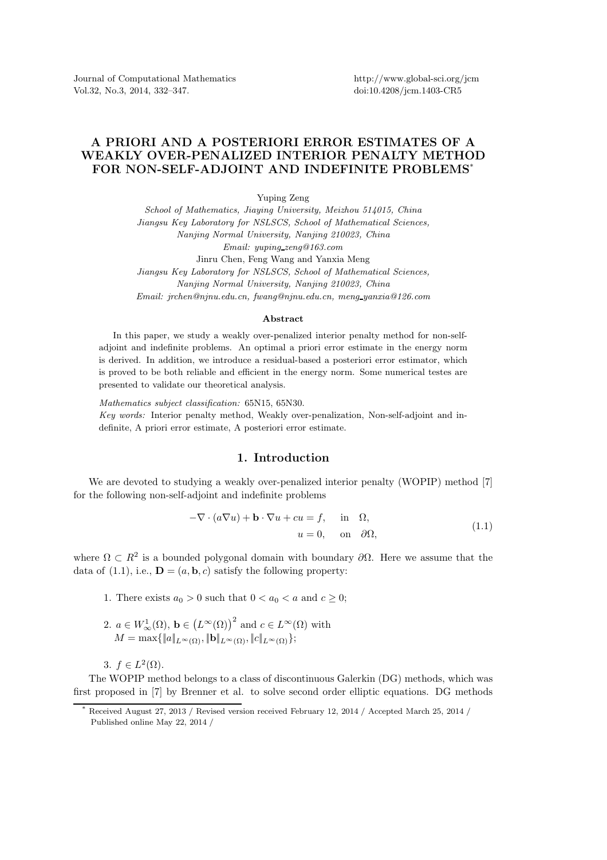Journal of Computational Mathematics Vol.32, No.3, 2014, 332–347.

http://www.global-sci.org/jcm doi:10.4208/jcm.1403-CR5

## A PRIORI AND A POSTERIORI ERROR ESTIMATES OF A WEAKLY OVER-PENALIZED INTERIOR PENALTY METHOD FOR NON-SELF-ADJOINT AND INDEFINITE PROBLEMS\*

Yuping Zeng

*School of Mathematics, Jiaying University, Meizhou 514015, China Jiangsu Key Laboratory for NSLSCS, School of Mathematical Sciences, Nanjing Normal University, Nanjing 210023, China Email: yuping zeng@163.com* Jinru Chen, Feng Wang and Yanxia Meng *Jiangsu Key Laboratory for NSLSCS, School of Mathematical Sciences, Nanjing Normal University, Nanjing 210023, China*

*Email: jrchen@njnu.edu.cn, fwang@njnu.edu.cn, meng yanxia@126.com*

## Abstract

In this paper, we study a weakly over-penalized interior penalty method for non-selfadjoint and indefinite problems. An optimal a priori error estimate in the energy norm is derived. In addition, we introduce a residual-based a posteriori error estimator, which is proved to be both reliable and efficient in the energy norm. Some numerical testes are presented to validate our theoretical analysis.

*Mathematics subject classification:* 65N15, 65N30. *Key words:* Interior penalty method, Weakly over-penalization, Non-self-adjoint and indefinite, A priori error estimate, A posteriori error estimate.

## 1. Introduction

We are devoted to studying a weakly over-penalized interior penalty (WOPIP) method [7] for the following non-self-adjoint and indefinite problems

$$
-\nabla \cdot (a\nabla u) + \mathbf{b} \cdot \nabla u + cu = f, \quad \text{in} \quad \Omega,
$$
  

$$
u = 0, \quad \text{on} \quad \partial\Omega,
$$
 (1.1)

where  $\Omega \subset R^2$  is a bounded polygonal domain with boundary  $\partial \Omega$ . Here we assume that the data of (1.1), i.e.,  $\mathbf{D} = (a, \mathbf{b}, c)$  satisfy the following property:

1. There exists  $a_0 > 0$  such that  $0 < a_0 < a$  and  $c \geq 0$ ;

2.  $a \in W^1_{\infty}(\Omega)$ ,  $\mathbf{b} \in (L^{\infty}(\Omega))$ <sup>2</sup> and  $c \in L^{\infty}(\Omega)$  with  $M = \max\{\|a\|_{L^{\infty}(\Omega)}, \|b\|_{L^{\infty}(\Omega)}, \|c\|_{L^{\infty}(\Omega)}\};$ 

3.  $f \in L^2(\Omega)$ .

The WOPIP method belongs to a class of discontinuous Galerkin (DG) methods, which was first proposed in [7] by Brenner et al. to solve second order elliptic equations. DG methods

Received August 27, 2013 / Revised version received February 12, 2014 / Accepted March 25, 2014 / Published online May 22, 2014 /